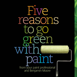Five reasons go to green paint from your paint professional n your paint professio<br>and Benjamin Moore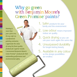## Why go green with Benjamin Moore's Green Promise™ paints?

*Painting is more than just a job to me. It's my craft. As a professional painting contractor, I appreciate the value of using the finest quality products for superior results. I recommend Benjamin Moore's Green Promise™ products for their outstanding performance and environmental safety.*

- 1. Safer products for your family and the environment
- 2. Low odour means improved indoor air quality
- 3. Quick drying so you can use your room again the same day
- 4. Unsurpassed durability for longer-lasting beauty
- 5. Available in any colour so the design possibilities are endless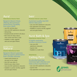## Aura**®**

**Waterborne Interior Paint**

#### Benjamin Moore's finest, offering ultra-premium performance, durability and colour depth

- Low VOC and low odour
- Uses zero-VOC waterborne colourants
- Self-priming
- Exceptional look and feel in all colours
- Best choice for deep colours, never needs more than 2 coats
- Available in matte, eggshell, satin and semi-gloss finishes

#### Benjamin Moore Natura**™**

**Interior Waterborne Paint**

#### Benjamin Moore's greenest, offering superior performance that's virtually odourless

- Lowest total emissions of any paint on the market
- Zero VOC even after it's tinted to your colour choice
- Uses zero-VOC waterborne colourants
- Available in a primer and flat, eggshell and semi-gloss finishes

## ben**™**

**Premium Interior Latex Paint**

#### A premium quality, low-VOC interior latex paint

- Uses zero-VOC waterborne colourants
- Easy application and cleanup
- Available in a primer and flat, eggshell and semi-gloss finishes

## Aura**®** Bath & Spa

**Waterborne Interior Paint**

#### A highly washable mildew-resistant finish

- Uses zero-VOC
- waterborne colourants
- Superior hide
- Available in a matte finish

### **Waterborne** Ceiling Paint

An ultra-flat finish that minimizes light reflection and hides surface imperfections

- Uses zero-VOC waterborne colourants
- Superior hide
- Easy application and spatter resistance



**Benjamin Moore** 

CEILING PAINT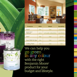

| <b>Products</b>              | <b>VOCs</b> | <b>Odour</b>        | <b>Durability</b> |
|------------------------------|-------------|---------------------|-------------------|
| Aura $\degree$               | low         | low                 | superior          |
| Benjamin Moore<br>Natura™    | zero        | virtually odourless | excellent         |
| ben™                         | low         | low                 | qood              |
| Aura <sup>®</sup> Bath & Spa | low         | low                 | superior          |
| <b>Ceiling Paint</b>         | low         | low                 | n/a               |

We can help you with the right Benjamin Moore® product for your budget and lifestyle. go green in any colour

Aura Bath & Spa **TEL FIRST**  $\sigma$ =

Benjamin Moore N  $\mathbf{a}$  $\mathbf{u}$  r a Porforman  $\sigma$ =

eggshell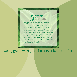# green<br>promise

Every product that has the Benjamin Moore Green Promise™ designation has exceeded the most stringent standards for environmental safety and superior performance. These premium "green" paints stand out for their low VOCs, low odour, unparalleled quality and performance with unlimited colour selection. There's a perfect Benjamin Moore Green Promise<sup>™</sup> product to suit every budget and lifestyle.

Going green with paint has never been simpler!